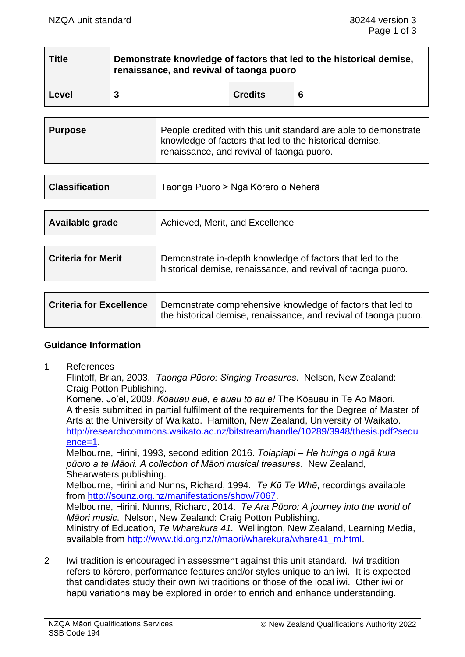| <b>Title</b> | Demonstrate knowledge of factors that led to the historical demise,<br>renaissance, and revival of taonga puoro |                |   |  |
|--------------|-----------------------------------------------------------------------------------------------------------------|----------------|---|--|
| Level        |                                                                                                                 | <b>Credits</b> | 6 |  |

| Purpose | People credited with this unit standard are able to demonstrate<br>knowledge of factors that led to the historical demise,<br>renaissance, and revival of taonga puoro. |
|---------|-------------------------------------------------------------------------------------------------------------------------------------------------------------------------|
|---------|-------------------------------------------------------------------------------------------------------------------------------------------------------------------------|

| <b>Classification</b>     | Taonga Puoro > Ngā Kōrero o Neherā                                                                                        |  |
|---------------------------|---------------------------------------------------------------------------------------------------------------------------|--|
|                           |                                                                                                                           |  |
| Available grade           | Achieved, Merit, and Excellence                                                                                           |  |
|                           |                                                                                                                           |  |
| <b>Criteria for Merit</b> | Demonstrate in-depth knowledge of factors that led to the<br>historical demise, renaissance, and revival of taonga puoro. |  |

| <b>Criteria for Excellence</b> | Demonstrate comprehensive knowledge of factors that led to<br>the historical demise, renaissance, and revival of taonga puoro. |
|--------------------------------|--------------------------------------------------------------------------------------------------------------------------------|
|--------------------------------|--------------------------------------------------------------------------------------------------------------------------------|

## **Guidance Information**

1 References

Flintoff, Brian, 2003. *Taonga Pūoro: Singing Treasures*. Nelson, New Zealand: Craig Potton Publishing.

Komene, Jo'el, 2009. *Kōauau auē, e auau tō au e!* The Kōauau in Te Ao Māori. A thesis submitted in partial fulfilment of the requirements for the Degree of Master of Arts at the University of Waikato. Hamilton, New Zealand, University of Waikato. [http://researchcommons.waikato.ac.nz/bitstream/handle/10289/3948/thesis.pdf?sequ](http://researchcommons.waikato.ac.nz/bitstream/handle/10289/3948/thesis.pdf?sequence=1)  $ence=1$ 

Melbourne, Hirini, 1993, second edition 2016. *Toiapiapi – He huinga o ngā kura pūoro a te Māori. A collection of Māori musical treasures*. New Zealand, Shearwaters publishing.

Melbourne, Hirini and Nunns, Richard, 1994. *Te Kū Te Whē*, recordings available from [http://sounz.org.nz/manifestations/show/7067.](http://sounz.org.nz/manifestations/show/7067)

Melbourne, Hirini. Nunns, Richard, 2014. *Te Ara Pūoro: A journey into the world of Māori music*. Nelson, New Zealand: Craig Potton Publishing.

Ministry of Education, *Te Wharekura 41.* Wellington, New Zealand, Learning Media, available from [http://www.tki.org.nz/r/maori/wharekura/whare41\\_m.html.](http://www.tki.org.nz/r/maori/wharekura/whare41_m.html)

2 Iwi tradition is encouraged in assessment against this unit standard. Iwi tradition refers to kōrero, performance features and/or styles unique to an iwi. It is expected that candidates study their own iwi traditions or those of the local iwi. Other iwi or hapū variations may be explored in order to enrich and enhance understanding.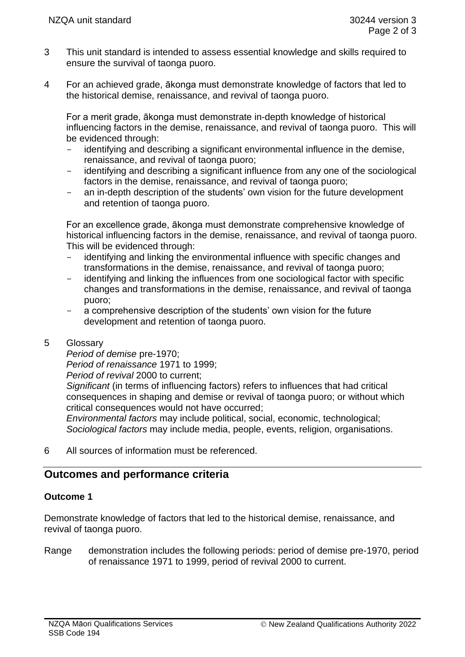- 3 This unit standard is intended to assess essential knowledge and skills required to ensure the survival of taonga puoro.
- 4 For an achieved grade, ākonga must demonstrate knowledge of factors that led to the historical demise, renaissance, and revival of taonga puoro.

For a merit grade, ākonga must demonstrate in-depth knowledge of historical influencing factors in the demise, renaissance, and revival of taonga puoro. This will be evidenced through:

- identifying and describing a significant environmental influence in the demise, renaissance, and revival of taonga puoro;
- identifying and describing a significant influence from any one of the sociological factors in the demise, renaissance, and revival of taonga puoro;
- an in-depth description of the students' own vision for the future development and retention of taonga puoro.

For an excellence grade, ākonga must demonstrate comprehensive knowledge of historical influencing factors in the demise, renaissance, and revival of taonga puoro. This will be evidenced through:

- identifying and linking the environmental influence with specific changes and transformations in the demise, renaissance, and revival of taonga puoro;
- identifying and linking the influences from one sociological factor with specific changes and transformations in the demise, renaissance, and revival of taonga puoro;
- a comprehensive description of the students' own vision for the future development and retention of taonga puoro.

# 5 Glossary

*Period of demise* pre-1970;

*Period of renaissance* 1971 to 1999;

*Period of revival* 2000 to current;

*Significant* (in terms of influencing factors) refers to influences that had critical consequences in shaping and demise or revival of taonga puoro; or without which critical consequences would not have occurred;

*Environmental factors* may include political, social, economic, technological; *Sociological factors* may include media, people, events, religion, organisations.

6 All sources of information must be referenced.

# **Outcomes and performance criteria**

# **Outcome 1**

Demonstrate knowledge of factors that led to the historical demise, renaissance, and revival of taonga puoro.

Range demonstration includes the following periods: period of demise pre-1970, period of renaissance 1971 to 1999, period of revival 2000 to current.